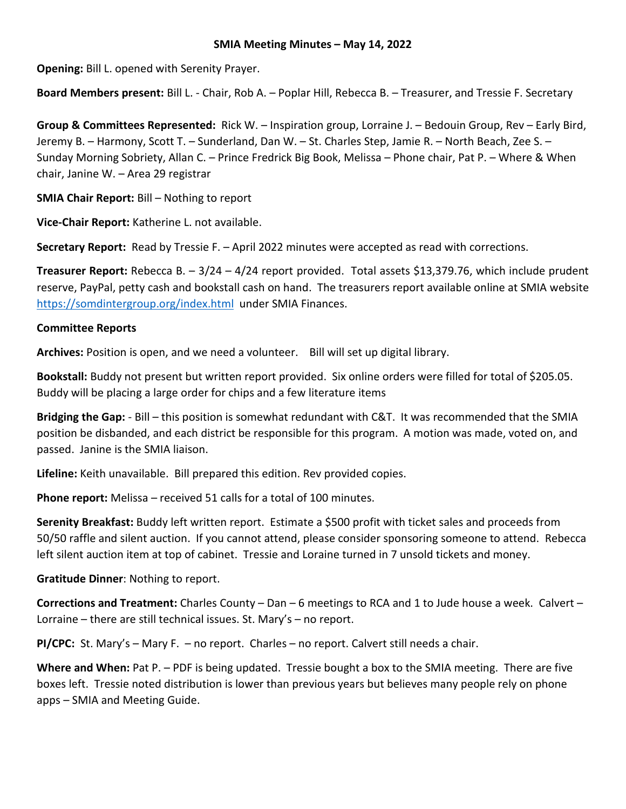# **SMIA Meeting Minutes – May 14, 2022**

**Opening:** Bill L. opened with Serenity Prayer.

**Board Members present:** Bill L. - Chair, Rob A. – Poplar Hill, Rebecca B. – Treasurer, and Tressie F. Secretary

**Group & Committees Represented:** Rick W. – Inspiration group, Lorraine J. – Bedouin Group, Rev – Early Bird, Jeremy B. – Harmony, Scott T. – Sunderland, Dan W. – St. Charles Step, Jamie R. – North Beach, Zee S. – Sunday Morning Sobriety, Allan C. – Prince Fredrick Big Book, Melissa – Phone chair, Pat P. – Where & When chair, Janine W. – Area 29 registrar

**SMIA Chair Report:** Bill – Nothing to report

**Vice-Chair Report:** Katherine L. not available.

**Secretary Report:** Read by Tressie F. – April 2022 minutes were accepted as read with corrections.

**Treasurer Report:** Rebecca B. – 3/24 – 4/24 report provided. Total assets \$13,379.76, which include prudent reserve, PayPal, petty cash and bookstall cash on hand. The treasurers report available online at SMIA website <https://somdintergroup.org/index.html>under SMIA Finances.

# **Committee Reports**

**Archives:** Position is open, and we need a volunteer. Bill will set up digital library.

**Bookstall:** Buddy not present but written report provided. Six online orders were filled for total of \$205.05. Buddy will be placing a large order for chips and a few literature items

**Bridging the Gap:** - Bill – this position is somewhat redundant with C&T. It was recommended that the SMIA position be disbanded, and each district be responsible for this program. A motion was made, voted on, and passed. Janine is the SMIA liaison.

**Lifeline:** Keith unavailable. Bill prepared this edition. Rev provided copies.

**Phone report:** Melissa – received 51 calls for a total of 100 minutes.

**Serenity Breakfast:** Buddy left written report. Estimate a \$500 profit with ticket sales and proceeds from 50/50 raffle and silent auction. If you cannot attend, please consider sponsoring someone to attend. Rebecca left silent auction item at top of cabinet. Tressie and Loraine turned in 7 unsold tickets and money.

**Gratitude Dinner**: Nothing to report.

**Corrections and Treatment:** Charles County – Dan – 6 meetings to RCA and 1 to Jude house a week. Calvert – Lorraine – there are still technical issues. St. Mary's – no report.

**PI/CPC:** St. Mary's – Mary F. – no report. Charles – no report. Calvert still needs a chair.

Where and When: Pat P. - PDF is being updated. Tressie bought a box to the SMIA meeting. There are five boxes left. Tressie noted distribution is lower than previous years but believes many people rely on phone apps – SMIA and Meeting Guide.